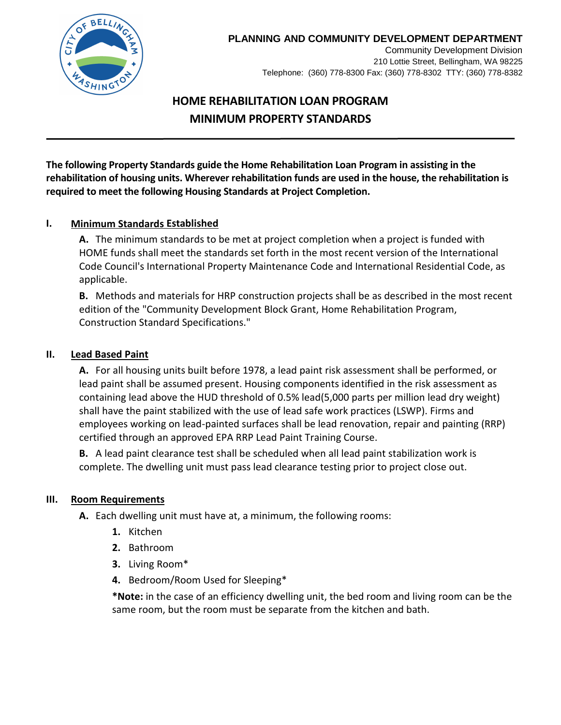

### **PLANNING AND COMMUNITY DEVELOPMENT DEPARTMENT**

Community Development Division 210 Lottie Street, Bellingham, WA 98225 Telephone: (360) 778-8300 Fax: (360) 778-8302 TTY: (360) 778-8382

# **HOME REHABILITATION LOAN PROGRAM MINIMUM PROPERTY STANDARDS**

**The following Property Standards guide the Home Rehabilitation Loan Program in assisting in the rehabilitation of housing units. Wherever rehabilitation funds are used in the house, the rehabilitation is required to meet the following Housing Standards at Project Completion.** 

### **I. Minimum Standards Established**

**A.** The minimum standards to be met at project completion when a project is funded with HOME funds shall meet the standards set forth in the most recent version of the International Code Council's International Property Maintenance Code and International Residential Code, as applicable.

**B.** Methods and materials for HRP construction projects shall be as described in the most recent edition of the "Community Development Block Grant, Home Rehabilitation Program, Construction Standard Specifications."

#### **II. Lead Based Paint**

**A.** For all housing units built before 1978, a lead paint risk assessment shall be performed, or lead paint shall be assumed present. Housing components identified in the risk assessment as containing lead above the HUD threshold of 0.5% lead(5,000 parts per million lead dry weight) shall have the paint stabilized with the use of lead safe work practices (LSWP). Firms and employees working on lead-painted surfaces shall be lead renovation, repair and painting (RRP) certified through an approved EPA RRP Lead Paint Training Course.

**B.** A lead paint clearance test shall be scheduled when all lead paint stabilization work is complete. The dwelling unit must pass lead clearance testing prior to project close out.

#### **III. Room Requirements**

**A.** Each dwelling unit must have at, a minimum, the following rooms:

- **1.** Kitchen
- **2.** Bathroom
- **3.** Living Room\*
- **4.** Bedroom/Room Used for Sleeping\*

**\*Note:** in the case of an efficiency dwelling unit, the bed room and living room can be the same room, but the room must be separate from the kitchen and bath.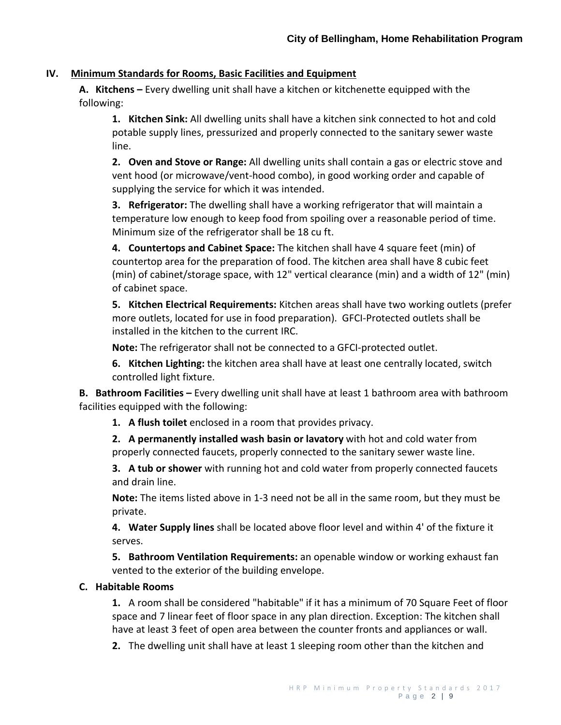#### **IV. Minimum Standards for Rooms, Basic Facilities and Equipment**

**A. Kitchens –** Every dwelling unit shall have a kitchen or kitchenette equipped with the following:

**1. Kitchen Sink:** All dwelling units shall have a kitchen sink connected to hot and cold potable supply lines, pressurized and properly connected to the sanitary sewer waste line.

**2. Oven and Stove or Range:** All dwelling units shall contain a gas or electric stove and vent hood (or microwave/vent-hood combo), in good working order and capable of supplying the service for which it was intended.

**3. Refrigerator:** The dwelling shall have a working refrigerator that will maintain a temperature low enough to keep food from spoiling over a reasonable period of time. Minimum size of the refrigerator shall be 18 cu ft.

**4. Countertops and Cabinet Space:** The kitchen shall have 4 square feet (min) of countertop area for the preparation of food. The kitchen area shall have 8 cubic feet (min) of cabinet/storage space, with 12" vertical clearance (min) and a width of 12" (min) of cabinet space.

**5. Kitchen Electrical Requirements:** Kitchen areas shall have two working outlets (prefer more outlets, located for use in food preparation). GFCI-Protected outlets shall be installed in the kitchen to the current IRC.

**Note:** The refrigerator shall not be connected to a GFCI-protected outlet.

**6. Kitchen Lighting:** the kitchen area shall have at least one centrally located, switch controlled light fixture.

**B. Bathroom Facilities –** Every dwelling unit shall have at least 1 bathroom area with bathroom facilities equipped with the following:

**1. A flush toilet** enclosed in a room that provides privacy.

**2. A permanently installed wash basin or lavatory** with hot and cold water from properly connected faucets, properly connected to the sanitary sewer waste line.

**3. A tub or shower** with running hot and cold water from properly connected faucets and drain line.

**Note:** The items listed above in 1-3 need not be all in the same room, but they must be private.

**4. Water Supply lines** shall be located above floor level and within 4' of the fixture it serves.

**5. Bathroom Ventilation Requirements:** an openable window or working exhaust fan vented to the exterior of the building envelope.

### **C. Habitable Rooms**

**1.** A room shall be considered "habitable" if it has a minimum of 70 Square Feet of floor space and 7 linear feet of floor space in any plan direction. Exception: The kitchen shall have at least 3 feet of open area between the counter fronts and appliances or wall.

**2.** The dwelling unit shall have at least 1 sleeping room other than the kitchen and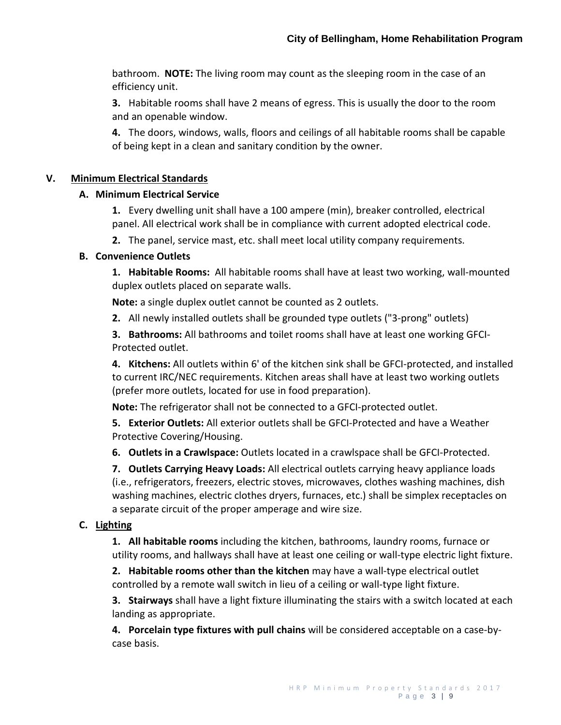bathroom. **NOTE:** The living room may count as the sleeping room in the case of an efficiency unit.

**3.** Habitable rooms shall have 2 means of egress. This is usually the door to the room and an openable window.

**4.** The doors, windows, walls, floors and ceilings of all habitable rooms shall be capable of being kept in a clean and sanitary condition by the owner.

### **V. Minimum Electrical Standards**

### **A. Minimum Electrical Service**

**1.** Every dwelling unit shall have a 100 ampere (min), breaker controlled, electrical panel. All electrical work shall be in compliance with current adopted electrical code.

**2.** The panel, service mast, etc. shall meet local utility company requirements.

### **B. Convenience Outlets**

**1. Habitable Rooms:** All habitable rooms shall have at least two working, wall-mounted duplex outlets placed on separate walls.

**Note:** a single duplex outlet cannot be counted as 2 outlets.

**2.** All newly installed outlets shall be grounded type outlets ("3-prong" outlets)

**3. Bathrooms:** All bathrooms and toilet rooms shall have at least one working GFCI-Protected outlet.

**4. Kitchens:** All outlets within 6' of the kitchen sink shall be GFCI-protected, and installed to current IRC/NEC requirements. Kitchen areas shall have at least two working outlets (prefer more outlets, located for use in food preparation).

**Note:** The refrigerator shall not be connected to a GFCI-protected outlet.

**5. Exterior Outlets:** All exterior outlets shall be GFCI-Protected and have a Weather Protective Covering/Housing.

**6. Outlets in a Crawlspace:** Outlets located in a crawlspace shall be GFCI-Protected.

**7. Outlets Carrying Heavy Loads:** All electrical outlets carrying heavy appliance loads (i.e., refrigerators, freezers, electric stoves, microwaves, clothes washing machines, dish washing machines, electric clothes dryers, furnaces, etc.) shall be simplex receptacles on a separate circuit of the proper amperage and wire size.

# **C. Lighting**

**1. All habitable rooms** including the kitchen, bathrooms, laundry rooms, furnace or utility rooms, and hallways shall have at least one ceiling or wall-type electric light fixture.

**2. Habitable rooms other than the kitchen** may have a wall-type electrical outlet controlled by a remote wall switch in lieu of a ceiling or wall-type light fixture.

**3. Stairways** shall have a light fixture illuminating the stairs with a switch located at each landing as appropriate.

**4. Porcelain type fixtures with pull chains** will be considered acceptable on a case-bycase basis.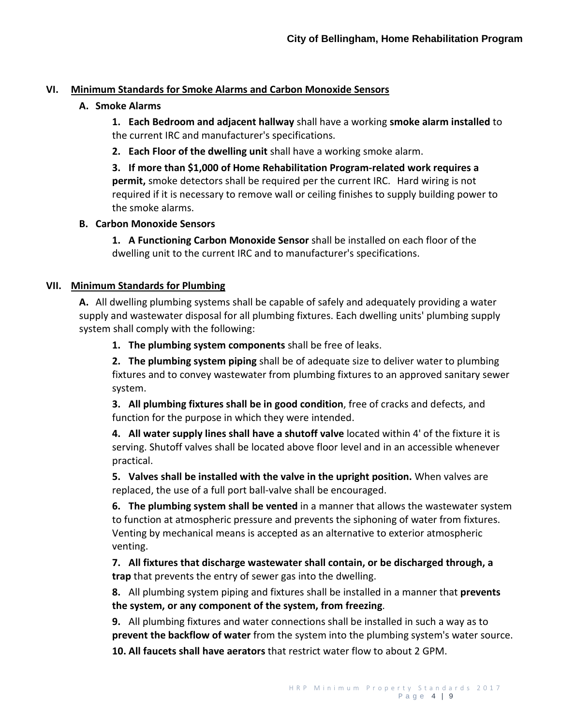### **VI. Minimum Standards for Smoke Alarms and Carbon Monoxide Sensors**

### **A. Smoke Alarms**

**1. Each Bedroom and adjacent hallway** shall have a working **smoke alarm installed** to the current IRC and manufacturer's specifications.

**2. Each Floor of the dwelling unit** shall have a working smoke alarm.

**3. If more than \$1,000 of Home Rehabilitation Program-related work requires a permit,** smoke detectors shall be required per the current IRC. Hard wiring is not required if it is necessary to remove wall or ceiling finishes to supply building power to the smoke alarms.

### **B. Carbon Monoxide Sensors**

**1. A Functioning Carbon Monoxide Sensor** shall be installed on each floor of the dwelling unit to the current IRC and to manufacturer's specifications.

### **VII. Minimum Standards for Plumbing**

**A.** All dwelling plumbing systems shall be capable of safely and adequately providing a water supply and wastewater disposal for all plumbing fixtures. Each dwelling units' plumbing supply system shall comply with the following:

**1. The plumbing system components** shall be free of leaks.

**2. The plumbing system piping** shall be of adequate size to deliver water to plumbing fixtures and to convey wastewater from plumbing fixtures to an approved sanitary sewer system.

**3. All plumbing fixtures shall be in good condition**, free of cracks and defects, and function for the purpose in which they were intended.

**4. All water supply lines shall have a shutoff valve** located within 4' of the fixture it is serving. Shutoff valves shall be located above floor level and in an accessible whenever practical.

**5. Valves shall be installed with the valve in the upright position.** When valves are replaced, the use of a full port ball-valve shall be encouraged.

**6. The plumbing system shall be vented** in a manner that allows the wastewater system to function at atmospheric pressure and prevents the siphoning of water from fixtures. Venting by mechanical means is accepted as an alternative to exterior atmospheric venting.

**7. All fixtures that discharge wastewater shall contain, or be discharged through, a trap** that prevents the entry of sewer gas into the dwelling.

**8.** All plumbing system piping and fixtures shall be installed in a manner that **prevents the system, or any component of the system, from freezing**.

**9.** All plumbing fixtures and water connections shall be installed in such a way as to **prevent the backflow of water** from the system into the plumbing system's water source.

**10. All faucets shall have aerators** that restrict water flow to about 2 GPM.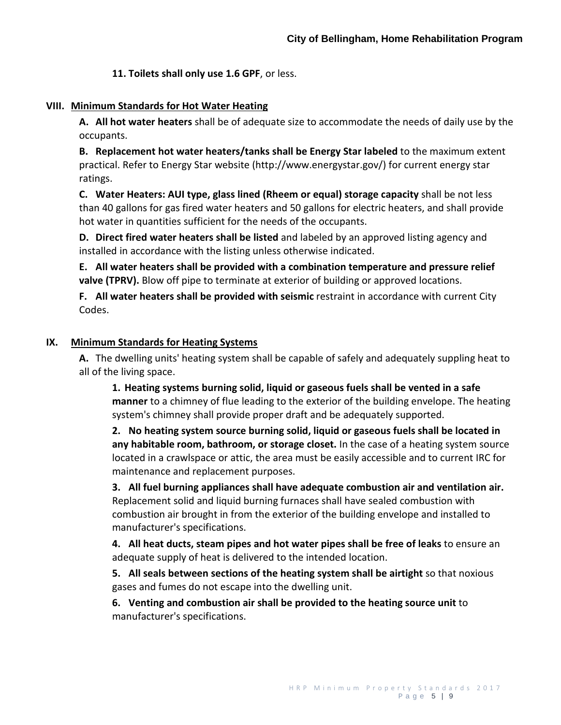**11. Toilets shall only use 1.6 GPF**, or less.

#### **VIII. Minimum Standards for Hot Water Heating**

**A. All hot water heaters** shall be of adequate size to accommodate the needs of daily use by the occupants.

**B. Replacement hot water heaters/tanks shall be Energy Star labeled** to the maximum extent practical. Refer to Energy Star website (http://www.energystar.gov/) for current energy star ratings.

**C. Water Heaters: AUI type, glass lined (Rheem or equal) storage capacity** shall be not less than 40 gallons for gas fired water heaters and 50 gallons for electric heaters, and shall provide hot water in quantities sufficient for the needs of the occupants.

**D. Direct fired water heaters shall be listed** and labeled by an approved listing agency and installed in accordance with the listing unless otherwise indicated.

**E. All water heaters shall be provided with a combination temperature and pressure relief valve (TPRV).** Blow off pipe to terminate at exterior of building or approved locations.

**F. All water heaters shall be provided with seismic** restraint in accordance with current City Codes.

### **IX. Minimum Standards for Heating Systems**

**A.** The dwelling units' heating system shall be capable of safely and adequately suppling heat to all of the living space.

**1. Heating systems burning solid, liquid or gaseous fuels shall be vented in a safe manner** to a chimney of flue leading to the exterior of the building envelope. The heating system's chimney shall provide proper draft and be adequately supported.

**2. No heating system source burning solid, liquid or gaseous fuels shall be located in any habitable room, bathroom, or storage closet.** In the case of a heating system source located in a crawlspace or attic, the area must be easily accessible and to current IRC for maintenance and replacement purposes.

**3. All fuel burning appliances shall have adequate combustion air and ventilation air.** Replacement solid and liquid burning furnaces shall have sealed combustion with combustion air brought in from the exterior of the building envelope and installed to manufacturer's specifications.

**4. All heat ducts, steam pipes and hot water pipes shall be free of leaks** to ensure an adequate supply of heat is delivered to the intended location.

**5. All seals between sections of the heating system shall be airtight** so that noxious gases and fumes do not escape into the dwelling unit.

**6. Venting and combustion air shall be provided to the heating source unit** to manufacturer's specifications.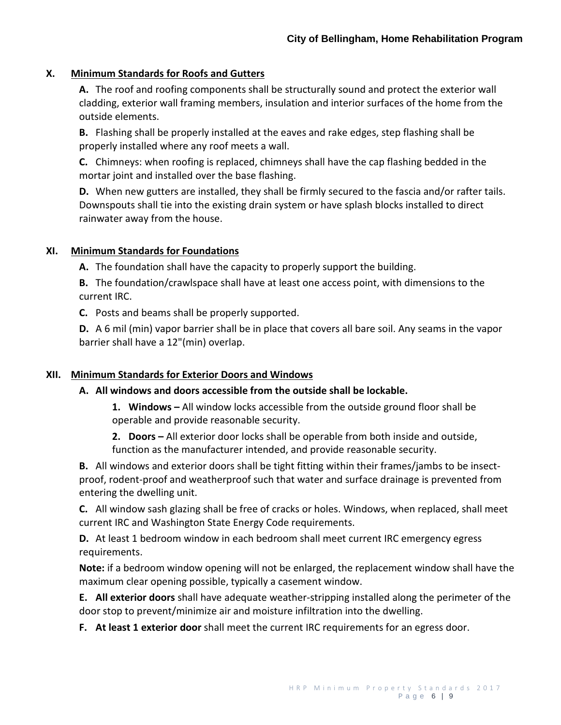### **X. Minimum Standards for Roofs and Gutters**

**A.** The roof and roofing components shall be structurally sound and protect the exterior wall cladding, exterior wall framing members, insulation and interior surfaces of the home from the outside elements.

**B.** Flashing shall be properly installed at the eaves and rake edges, step flashing shall be properly installed where any roof meets a wall.

**C.** Chimneys: when roofing is replaced, chimneys shall have the cap flashing bedded in the mortar joint and installed over the base flashing.

**D.** When new gutters are installed, they shall be firmly secured to the fascia and/or rafter tails. Downspouts shall tie into the existing drain system or have splash blocks installed to direct rainwater away from the house.

### **XI. Minimum Standards for Foundations**

**A.** The foundation shall have the capacity to properly support the building.

**B.** The foundation/crawlspace shall have at least one access point, with dimensions to the current IRC.

**C.** Posts and beams shall be properly supported.

**D.** A 6 mil (min) vapor barrier shall be in place that covers all bare soil. Any seams in the vapor barrier shall have a 12"(min) overlap.

# **XII. Minimum Standards for Exterior Doors and Windows**

### **A. All windows and doors accessible from the outside shall be lockable.**

**1. Windows –** All window locks accessible from the outside ground floor shall be operable and provide reasonable security.

**2. Doors –** All exterior door locks shall be operable from both inside and outside, function as the manufacturer intended, and provide reasonable security.

**B.** All windows and exterior doors shall be tight fitting within their frames/jambs to be insectproof, rodent-proof and weatherproof such that water and surface drainage is prevented from entering the dwelling unit.

**C.** All window sash glazing shall be free of cracks or holes. Windows, when replaced, shall meet current IRC and Washington State Energy Code requirements.

**D.** At least 1 bedroom window in each bedroom shall meet current IRC emergency egress requirements.

**Note:** if a bedroom window opening will not be enlarged, the replacement window shall have the maximum clear opening possible, typically a casement window.

**E. All exterior doors** shall have adequate weather-stripping installed along the perimeter of the door stop to prevent/minimize air and moisture infiltration into the dwelling.

**F. At least 1 exterior door** shall meet the current IRC requirements for an egress door.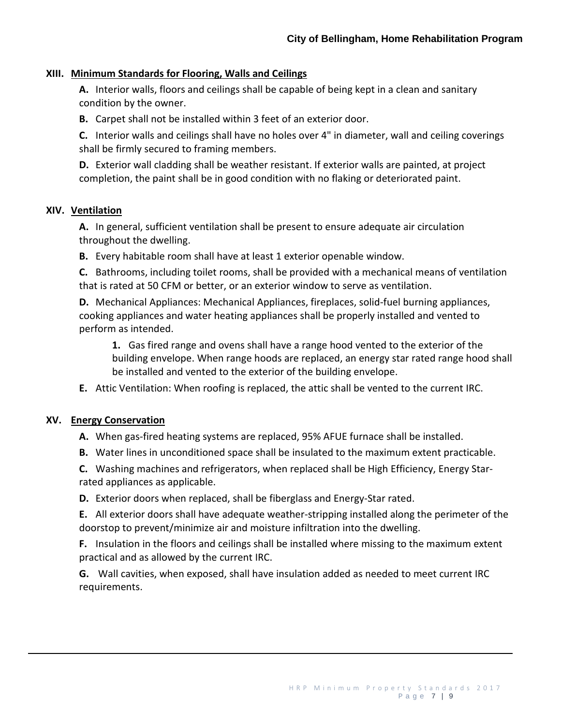#### **XIII. Minimum Standards for Flooring, Walls and Ceilings**

**A.** Interior walls, floors and ceilings shall be capable of being kept in a clean and sanitary condition by the owner.

**B.** Carpet shall not be installed within 3 feet of an exterior door.

**C.** Interior walls and ceilings shall have no holes over 4" in diameter, wall and ceiling coverings shall be firmly secured to framing members.

**D.** Exterior wall cladding shall be weather resistant. If exterior walls are painted, at project completion, the paint shall be in good condition with no flaking or deteriorated paint.

#### **XIV. Ventilation**

**A.** In general, sufficient ventilation shall be present to ensure adequate air circulation throughout the dwelling.

**B.** Every habitable room shall have at least 1 exterior openable window.

**C.** Bathrooms, including toilet rooms, shall be provided with a mechanical means of ventilation that is rated at 50 CFM or better, or an exterior window to serve as ventilation.

**D.** Mechanical Appliances: Mechanical Appliances, fireplaces, solid-fuel burning appliances, cooking appliances and water heating appliances shall be properly installed and vented to perform as intended.

**1.** Gas fired range and ovens shall have a range hood vented to the exterior of the building envelope. When range hoods are replaced, an energy star rated range hood shall be installed and vented to the exterior of the building envelope.

**E.** Attic Ventilation: When roofing is replaced, the attic shall be vented to the current IRC.

#### **XV. Energy Conservation**

**A.** When gas-fired heating systems are replaced, 95% AFUE furnace shall be installed.

**B.** Water lines in unconditioned space shall be insulated to the maximum extent practicable.

**C.** Washing machines and refrigerators, when replaced shall be High Efficiency, Energy Starrated appliances as applicable.

**D.** Exterior doors when replaced, shall be fiberglass and Energy-Star rated.

**E.** All exterior doors shall have adequate weather-stripping installed along the perimeter of the doorstop to prevent/minimize air and moisture infiltration into the dwelling.

**F.** Insulation in the floors and ceilings shall be installed where missing to the maximum extent practical and as allowed by the current IRC.

**G.** Wall cavities, when exposed, shall have insulation added as needed to meet current IRC requirements.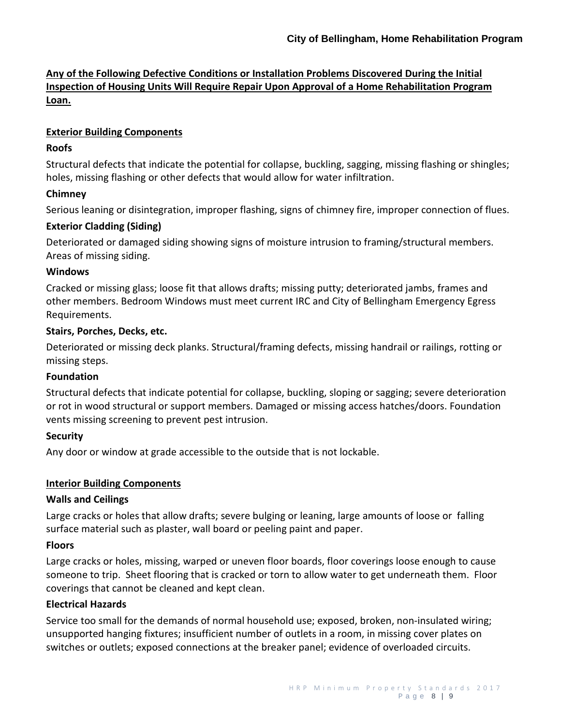# **Any of the Following Defective Conditions or Installation Problems Discovered During the Initial Inspection of Housing Units Will Require Repair Upon Approval of a Home Rehabilitation Program Loan.**

### **Exterior Building Components**

## **Roofs**

Structural defects that indicate the potential for collapse, buckling, sagging, missing flashing or shingles; holes, missing flashing or other defects that would allow for water infiltration.

### **Chimney**

Serious leaning or disintegration, improper flashing, signs of chimney fire, improper connection of flues.

### **Exterior Cladding (Siding)**

Deteriorated or damaged siding showing signs of moisture intrusion to framing/structural members. Areas of missing siding.

### **Windows**

Cracked or missing glass; loose fit that allows drafts; missing putty; deteriorated jambs, frames and other members. Bedroom Windows must meet current IRC and City of Bellingham Emergency Egress Requirements.

### **Stairs, Porches, Decks, etc.**

Deteriorated or missing deck planks. Structural/framing defects, missing handrail or railings, rotting or missing steps.

### **Foundation**

Structural defects that indicate potential for collapse, buckling, sloping or sagging; severe deterioration or rot in wood structural or support members. Damaged or missing access hatches/doors. Foundation vents missing screening to prevent pest intrusion.

# **Security**

Any door or window at grade accessible to the outside that is not lockable.

### **Interior Building Components**

### **Walls and Ceilings**

Large cracks or holes that allow drafts; severe bulging or leaning, large amounts of loose or falling surface material such as plaster, wall board or peeling paint and paper.

# **Floors**

Large cracks or holes, missing, warped or uneven floor boards, floor coverings loose enough to cause someone to trip. Sheet flooring that is cracked or torn to allow water to get underneath them. Floor coverings that cannot be cleaned and kept clean.

### **Electrical Hazards**

Service too small for the demands of normal household use; exposed, broken, non-insulated wiring; unsupported hanging fixtures; insufficient number of outlets in a room, in missing cover plates on switches or outlets; exposed connections at the breaker panel; evidence of overloaded circuits.